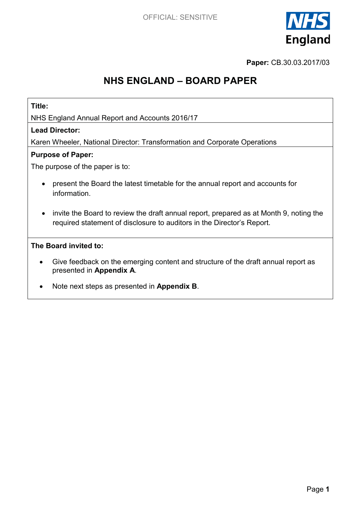

**Paper:** CB.30.03.2017/03

# **NHS ENGLAND – BOARD PAPER**

### **Title:**

NHS England Annual Report and Accounts 2016/17

### **Lead Director:**

Karen Wheeler, National Director: Transformation and Corporate Operations

### **Purpose of Paper:**

The purpose of the paper is to:

- present the Board the latest timetable for the annual report and accounts for information.
- invite the Board to review the draft annual report, prepared as at Month 9, noting the required statement of disclosure to auditors in the Director's Report.

### **The Board invited to:**

- Give feedback on the emerging content and structure of the draft annual report as presented in **Appendix A**.
- x Note next steps as presented in **Appendix B**.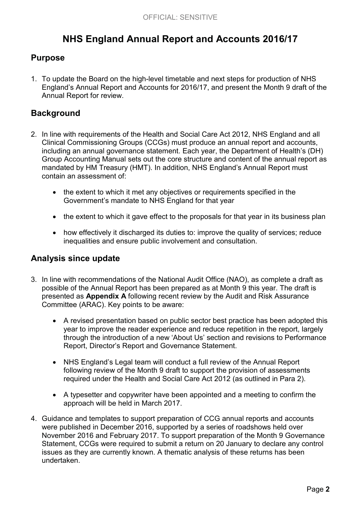# **NHS England Annual Report and Accounts 2016/17**

# **Purpose**

1. To update the Board on the high-level timetable and next steps for production of NHS England's Annual Report and Accounts for 2016/17, and present the Month 9 draft of the Annual Report for review.

# **Background**

- 2. In line with requirements of the Health and Social Care Act 2012, NHS England and all Clinical Commissioning Groups (CCGs) must produce an annual report and accounts, including an annual governance statement. Each year, the Department of Health's (DH) Group Accounting Manual sets out the core structure and content of the annual report as mandated by HM Treasury (HMT). In addition, NHS England's Annual Report must contain an assessment of:
	- x the extent to which it met any objectives or requirements specified in the Government's mandate to NHS England for that year
	- the extent to which it gave effect to the proposals for that year in its business plan
	- how effectively it discharged its duties to: improve the quality of services; reduce inequalities and ensure public involvement and consultation.

### **Analysis since update**

- 3. In line with recommendations of the National Audit Office (NAO), as complete a draft as possible of the Annual Report has been prepared as at Month 9 this year. The draft is presented as **Appendix A** following recent review by the Audit and Risk Assurance Committee (ARAC). Key points to be aware:
	- A revised presentation based on public sector best practice has been adopted this year to improve the reader experience and reduce repetition in the report, largely through the introduction of a new 'About Us' section and revisions to Performance Report, Director's Report and Governance Statement.
	- NHS England's Legal team will conduct a full review of the Annual Report following review of the Month 9 draft to support the provision of assessments required under the Health and Social Care Act 2012 (as outlined in Para 2).
	- A typesetter and copywriter have been appointed and a meeting to confirm the approach will be held in March 2017.
- 4. Guidance and templates to support preparation of CCG annual reports and accounts were published in December 2016, supported by a series of roadshows held over November 2016 and February 2017. To support preparation of the Month 9 Governance Statement, CCGs were required to submit a return on 20 January to declare any control issues as they are currently known. A thematic analysis of these returns has been undertaken.